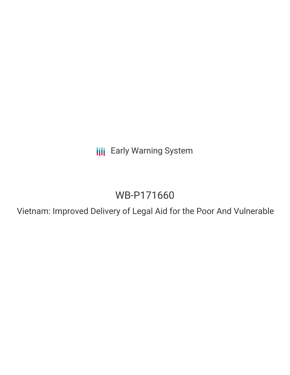**III** Early Warning System

# WB-P171660

Vietnam: Improved Delivery of Legal Aid for the Poor And Vulnerable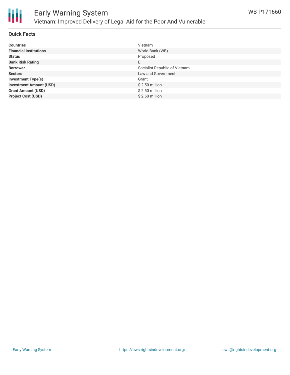

## **Quick Facts**

| <b>Countries</b>               | Vietnam                       |
|--------------------------------|-------------------------------|
| <b>Financial Institutions</b>  | World Bank (WB)               |
| <b>Status</b>                  | Proposed                      |
| <b>Bank Risk Rating</b>        | B                             |
| <b>Borrower</b>                | Socialist Republic of Vietnam |
| <b>Sectors</b>                 | Law and Government            |
| <b>Investment Type(s)</b>      | Grant                         |
| <b>Investment Amount (USD)</b> | $$2.50$ million               |
| <b>Grant Amount (USD)</b>      | $$2.50$ million               |
| <b>Project Cost (USD)</b>      | $$2.60$ million               |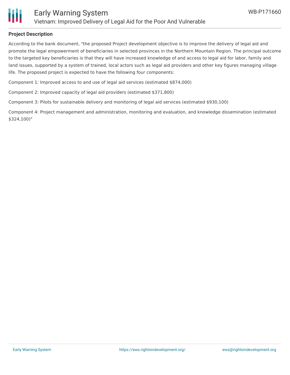

## **Project Description**

According to the bank document, "the proposed Project development objective is to improve the delivery of legal aid and promote the legal empowerment of beneficiaries in selected provinces in the Northern Mountain Region. The principal outcome to the targeted key beneficiaries is that they will have increased knowledge of and access to legal aid for labor, family and land issues, supported by a system of trained, local actors such as legal aid providers and other key figures managing village life. The proposed project is expected to have the following four components:

Component 1: Improved access to and use of legal aid services (estimated \$874,000)

Component 2: Improved capacity of legal aid providers (estimated \$371,800)

Component 3: Pilots for sustainable delivery and monitoring of legal aid services (estimated \$930,100)

Component 4: Project management and administration, monitoring and evaluation, and knowledge dissemination (estimated \$324,100)"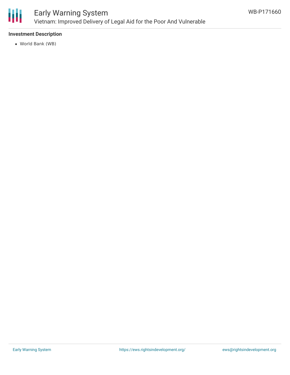

# Early Warning System Vietnam: Improved Delivery of Legal Aid for the Poor And Vulnerable

# **Investment Description**

World Bank (WB)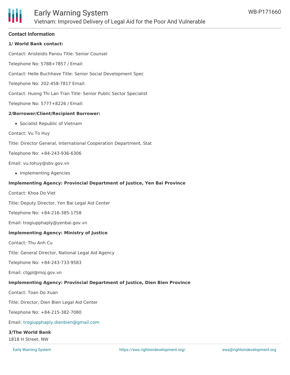#### **Contact Information**

### **1/ World Bank contact:**

Contact: Aristeidis Panou Title: Senior Counsel

Telephone No: 5788+7857 / Email:

Contact: Helle Buchhave Title: Senior Social Development Spec

Telephone No: 202-458-7817 Email:

Contact: Huong Thi Lan Tran Title: Senior Public Sector Specialist

Telephone No: 5777+8226 / Email:

#### **2/Borrower/Client/Recipient Borrower:**

Socialist Republic of Vietnam

Contact: Vu To Huy

Title: Director General, International Cooperation Department, Stat

Telephone No: +84-243-936-6306

Email: vu.tohuy@sbv.gov.vn

• Implementing Agencies

#### **Implementing Agency: Provincial Department of Justice, Yen Bai Province**

Contact: Khoa Do Viet

Title: Deputy Director, Yen Bai Legal Aid Center

Telephone No: +84-216-385-1758

Email: trogiupphaply@yenbai.gov.vn

#### **Implementing Agency: Ministry of Justice**

Contact: Thu Anh Cu

Title: General Director, National Legal Aid Agency

Telephone No: +84-243-733-9583

Email: ctgpl@moj.gov.vn

#### **Implementing Agency: Provincial Department of Justice, Dien Bien Province**

Contact: Toan Do Xuan

Title: Director, Dien Bien Legal Aid Center

Telephone No: +84-215-382-7080

Email: [trogiupphaply.dienbien@gmail.com](mailto:trogiupphaply.dienbien@gmail.com)

#### **3/The World Bank**

1818 H Street, NW

**Early Warning System** Telephone: (202) 473-1000